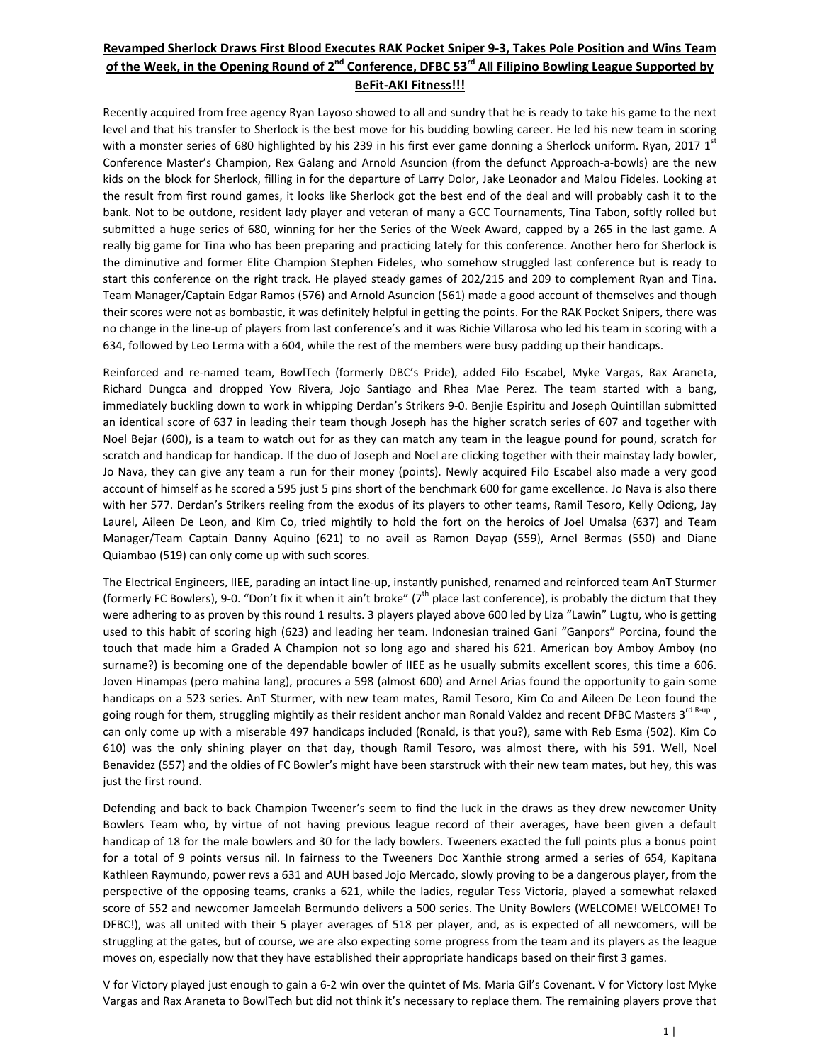#### Revamped Sherlock Draws First Blood Executes RAK Pocket Sniper 9-3, Takes Pole Position and Wins Team of the Week, in the Opening Round of 2<sup>nd</sup> Conference, DFBC 53<sup>rd</sup> All Filipino Bowling League Supported by **BeFit‐AKI Fitness!!!**

Recently acquired from free agency Ryan Layoso showed to all and sundry that he is ready to take his game to the next level and that his transfer to Sherlock is the best move for his budding bowling career. He led his new team in scoring with a monster series of 680 highlighted by his 239 in his first ever game donning a Sherlock uniform. Ryan, 2017 1st Conference Master's Champion, Rex Galang and Arnold Asuncion (from the defunct Approach‐a‐bowls) are the new kids on the block for Sherlock, filling in for the departure of Larry Dolor, Jake Leonador and Malou Fideles. Looking at the result from first round games, it looks like Sherlock got the best end of the deal and will probably cash it to the bank. Not to be outdone, resident lady player and veteran of many a GCC Tournaments, Tina Tabon, softly rolled but submitted a huge series of 680, winning for her the Series of the Week Award, capped by a 265 in the last game. A really big game for Tina who has been preparing and practicing lately for this conference. Another hero for Sherlock is the diminutive and former Elite Champion Stephen Fideles, who somehow struggled last conference but is ready to start this conference on the right track. He played steady games of 202/215 and 209 to complement Ryan and Tina. Team Manager/Captain Edgar Ramos (576) and Arnold Asuncion (561) made a good account of themselves and though their scores were not as bombastic, it was definitely helpful in getting the points. For the RAK Pocket Snipers, there was no change in the line‐up of players from last conference's and it was Richie Villarosa who led his team in scoring with a 634, followed by Leo Lerma with a 604, while the rest of the members were busy padding up their handicaps.

Reinforced and re‐named team, BowlTech (formerly DBC's Pride), added Filo Escabel, Myke Vargas, Rax Araneta, Richard Dungca and dropped Yow Rivera, Jojo Santiago and Rhea Mae Perez. The team started with a bang, immediately buckling down to work in whipping Derdan's Strikers 9‐0. Benjie Espiritu and Joseph Quintillan submitted an identical score of 637 in leading their team though Joseph has the higher scratch series of 607 and together with Noel Bejar (600), is a team to watch out for as they can match any team in the league pound for pound, scratch for scratch and handicap for handicap. If the duo of Joseph and Noel are clicking together with their mainstay lady bowler, Jo Nava, they can give any team a run for their money (points). Newly acquired Filo Escabel also made a very good account of himself as he scored a 595 just 5 pins short of the benchmark 600 for game excellence. Jo Nava is also there with her 577. Derdan's Strikers reeling from the exodus of its players to other teams, Ramil Tesoro, Kelly Odiong, Jay Laurel, Aileen De Leon, and Kim Co, tried mightily to hold the fort on the heroics of Joel Umalsa (637) and Team Manager/Team Captain Danny Aquino (621) to no avail as Ramon Dayap (559), Arnel Bermas (550) and Diane Quiambao (519) can only come up with such scores.

The Electrical Engineers, IIEE, parading an intact line‐up, instantly punished, renamed and reinforced team AnT Sturmer (formerly FC Bowlers), 9-0. "Don't fix it when it ain't broke"  $(7<sup>th</sup>$  place last conference), is probably the dictum that they were adhering to as proven by this round 1 results. 3 players played above 600 led by Liza "Lawin" Lugtu, who is getting used to this habit of scoring high (623) and leading her team. Indonesian trained Gani "Ganpors" Porcina, found the touch that made him a Graded A Champion not so long ago and shared his 621. American boy Amboy Amboy (no surname?) is becoming one of the dependable bowler of IIEE as he usually submits excellent scores, this time a 606. Joven Hinampas (pero mahina lang), procures a 598 (almost 600) and Arnel Arias found the opportunity to gain some handicaps on a 523 series. AnT Sturmer, with new team mates, Ramil Tesoro, Kim Co and Aileen De Leon found the going rough for them, struggling mightily as their resident anchor man Ronald Valdez and recent DFBC Masters 3<sup>rd R-up</sup>, can only come up with a miserable 497 handicaps included (Ronald, is that you?), same with Reb Esma (502). Kim Co 610) was the only shining player on that day, though Ramil Tesoro, was almost there, with his 591. Well, Noel Benavidez (557) and the oldies of FC Bowler's might have been starstruck with their new team mates, but hey, this was just the first round.

Defending and back to back Champion Tweener's seem to find the luck in the draws as they drew newcomer Unity Bowlers Team who, by virtue of not having previous league record of their averages, have been given a default handicap of 18 for the male bowlers and 30 for the lady bowlers. Tweeners exacted the full points plus a bonus point for a total of 9 points versus nil. In fairness to the Tweeners Doc Xanthie strong armed a series of 654, Kapitana Kathleen Raymundo, power revs a 631 and AUH based Jojo Mercado, slowly proving to be a dangerous player, from the perspective of the opposing teams, cranks a 621, while the ladies, regular Tess Victoria, played a somewhat relaxed score of 552 and newcomer Jameelah Bermundo delivers a 500 series. The Unity Bowlers (WELCOME! WELCOME! To DFBC!), was all united with their 5 player averages of 518 per player, and, as is expected of all newcomers, will be struggling at the gates, but of course, we are also expecting some progress from the team and its players as the league moves on, especially now that they have established their appropriate handicaps based on their first 3 games.

V for Victory played just enough to gain a 6‐2 win over the quintet of Ms. Maria Gil's Covenant. V for Victory lost Myke Vargas and Rax Araneta to BowlTech but did not think it's necessary to replace them. The remaining players prove that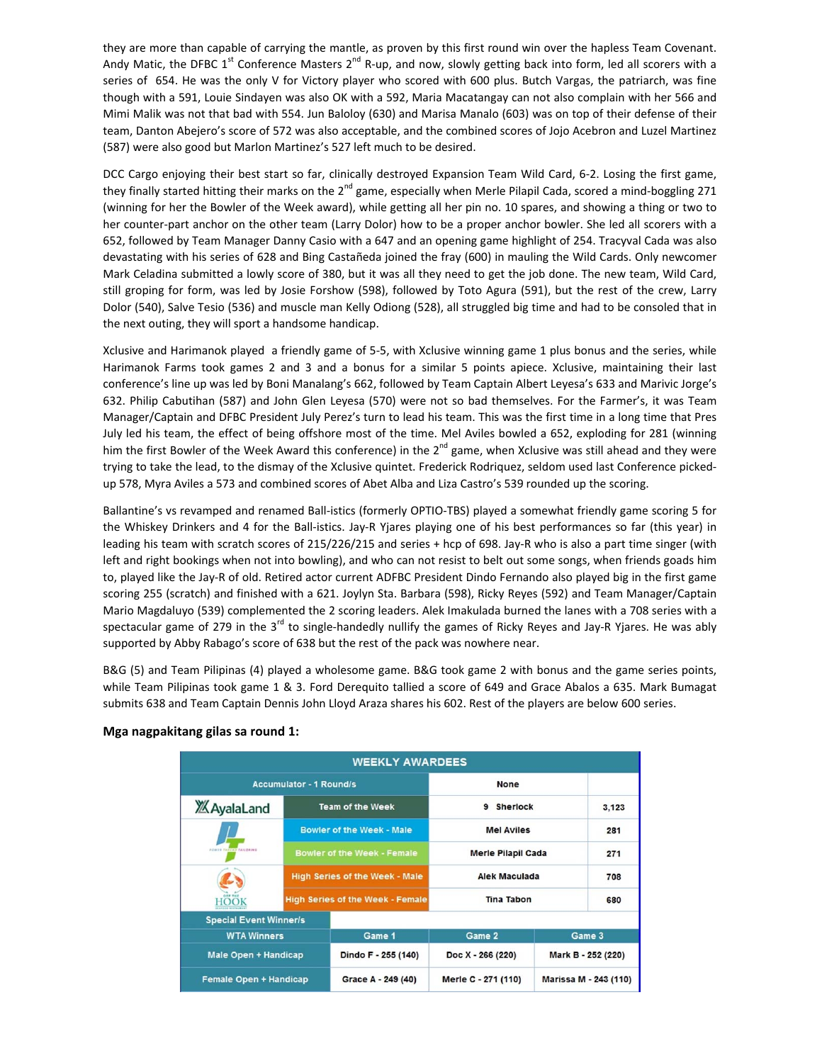they are more than capable of carrying the mantle, as proven by this first round win over the hapless Team Covenant. Andy Matic, the DFBC 1<sup>st</sup> Conference Masters 2<sup>nd</sup> R-up, and now, slowly getting back into form, led all scorers with a series of 654. He was the only V for Victory player who scored with 600 plus. Butch Vargas, the patriarch, was fine though with a 591, Louie Sindayen was also OK with a 592, Maria Macatangay can not also complain with her 566 and Mimi Malik was not that bad with 554. Jun Baloloy (630) and Marisa Manalo (603) was on top of their defense of their team, Danton Abejero's score of 572 was also acceptable, and the combined scores of Jojo Acebron and Luzel Martinez (587) were also good but Marlon Martinez's 527 left much to be desired.

DCC Cargo enjoying their best start so far, clinically destroyed Expansion Team Wild Card, 6‐2. Losing the first game, they finally started hitting their marks on the 2<sup>nd</sup> game, especially when Merle Pilapil Cada, scored a mind-boggling 271 (winning for her the Bowler of the Week award), while getting all her pin no. 10 spares, and showing a thing or two to her counter-part anchor on the other team (Larry Dolor) how to be a proper anchor bowler. She led all scorers with a 652, followed by Team Manager Danny Casio with a 647 and an opening game highlight of 254. Tracyval Cada was also devastating with his series of 628 and Bing Castañeda joined the fray (600) in mauling the Wild Cards. Only newcomer Mark Celadina submitted a lowly score of 380, but it was all they need to get the job done. The new team, Wild Card, still groping for form, was led by Josie Forshow (598), followed by Toto Agura (591), but the rest of the crew, Larry Dolor (540), Salve Tesio (536) and muscle man Kelly Odiong (528), all struggled big time and had to be consoled that in the next outing, they will sport a handsome handicap.

Xclusive and Harimanok played a friendly game of 5‐5, with Xclusive winning game 1 plus bonus and the series, while Harimanok Farms took games 2 and 3 and a bonus for a similar 5 points apiece. Xclusive, maintaining their last conference's line up was led by Boni Manalang's 662, followed by Team Captain Albert Leyesa's 633 and Marivic Jorge's 632. Philip Cabutihan (587) and John Glen Leyesa (570) were not so bad themselves. For the Farmer's, it was Team Manager/Captain and DFBC President July Perez's turn to lead his team. This was the first time in a long time that Pres July led his team, the effect of being offshore most of the time. Mel Aviles bowled a 652, exploding for 281 (winning him the first Bowler of the Week Award this conference) in the 2<sup>nd</sup> game, when Xclusive was still ahead and they were trying to take the lead, to the dismay of the Xclusive quintet. Frederick Rodriquez, seldom used last Conference picked‐ up 578, Myra Aviles a 573 and combined scores of Abet Alba and Liza Castro's 539 rounded up the scoring.

Ballantine's vs revamped and renamed Ball‐istics (formerly OPTIO‐TBS) played a somewhat friendly game scoring 5 for the Whiskey Drinkers and 4 for the Ball‐istics. Jay‐R Yjares playing one of his best performances so far (this year) in leading his team with scratch scores of 215/226/215 and series + hcp of 698. Jay‐R who is also a part time singer (with left and right bookings when not into bowling), and who can not resist to belt out some songs, when friends goads him to, played like the Jay‐R of old. Retired actor current ADFBC President Dindo Fernando also played big in the first game scoring 255 (scratch) and finished with a 621. Joylyn Sta. Barbara (598), Ricky Reyes (592) and Team Manager/Captain Mario Magdaluyo (539) complemented the 2 scoring leaders. Alek Imakulada burned the lanes with a 708 series with a spectacular game of 279 in the 3<sup>rd</sup> to single-handedly nullify the games of Ricky Reyes and Jay-R Yjares. He was ably supported by Abby Rabago's score of 638 but the rest of the pack was nowhere near.

B&G (5) and Team Pilipinas (4) played a wholesome game. B&G took game 2 with bonus and the game series points, while Team Pilipinas took game 1 & 3. Ford Derequito tallied a score of 649 and Grace Abalos a 635. Mark Bumagat submits 638 and Team Captain Dennis John Lloyd Araza shares his 602. Rest of the players are below 600 series.

|                               | <b>WEEKLY AWARDEES</b>         |                                         |                           |                       |  |  |  |  |  |  |  |  |  |
|-------------------------------|--------------------------------|-----------------------------------------|---------------------------|-----------------------|--|--|--|--|--|--|--|--|--|
|                               | <b>Accumulator - 1 Round/s</b> |                                         | None                      |                       |  |  |  |  |  |  |  |  |  |
| <b>XX</b> AyalaLand           |                                | <b>Team of the Week</b>                 | <b>Sherlock</b><br>9      | 3,123                 |  |  |  |  |  |  |  |  |  |
|                               |                                | <b>Bowler of the Week - Male</b>        | <b>Mel Aviles</b>         | 281                   |  |  |  |  |  |  |  |  |  |
| FORTE FIELED TAILDRING        |                                | <b>Bowler of the Week - Female</b>      | <b>Merle Pilapil Cada</b> | 271                   |  |  |  |  |  |  |  |  |  |
|                               |                                | <b>High Series of the Week - Male</b>   | <b>Alek Maculada</b>      | 708                   |  |  |  |  |  |  |  |  |  |
| <b>HOOK</b>                   |                                | <b>High Series of the Week - Female</b> | <b>Tina Tabon</b>         | 680                   |  |  |  |  |  |  |  |  |  |
| <b>Special Event Winner/s</b> |                                |                                         |                           |                       |  |  |  |  |  |  |  |  |  |
| <b>WTA Winners</b>            |                                | Game 1                                  | Game 2                    | Game 3                |  |  |  |  |  |  |  |  |  |
| Male Open + Handicap          |                                | Dindo F - 255 (140)                     | Doc X - 266 (220)         | Mark B - 252 (220)    |  |  |  |  |  |  |  |  |  |
| Female Open + Handicap        |                                | Grace A - 249 (40)                      | Merle C - 271 (110)       | Marissa M - 243 (110) |  |  |  |  |  |  |  |  |  |

#### **Mga nagpakitang gilas sa round 1:**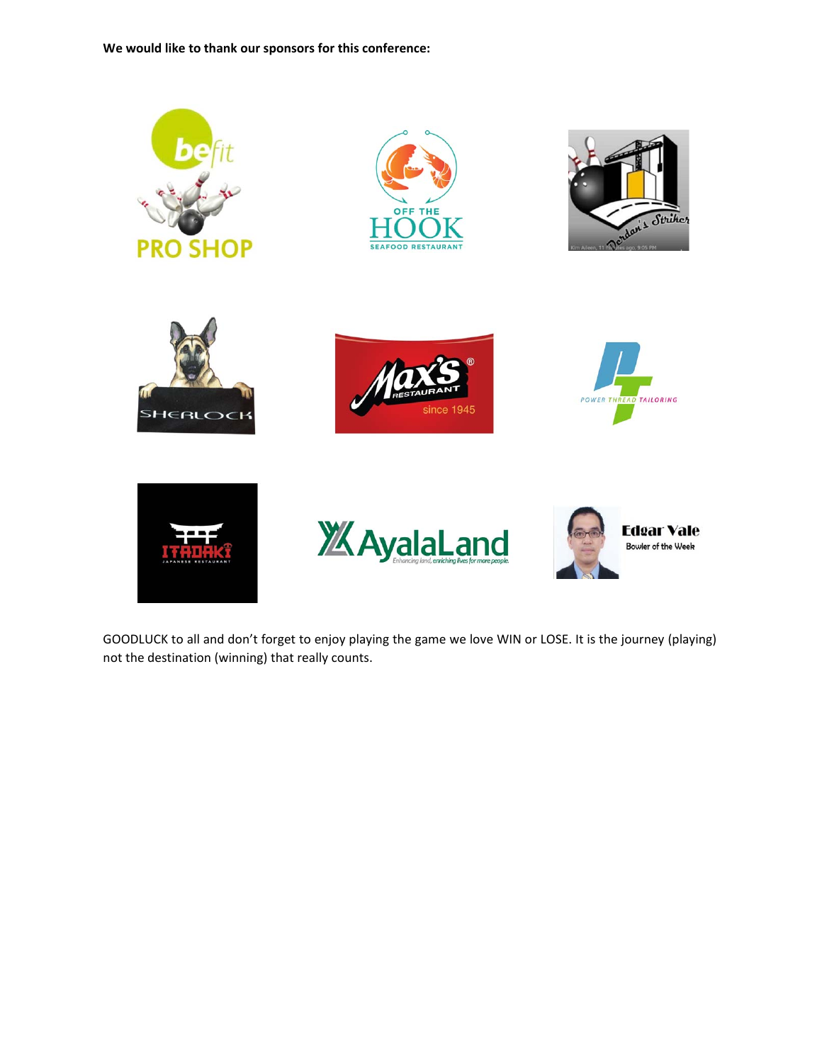**We would like to thank our sponsors for this conference:**













GOODLUCK to all and don't forget to enjoy playing the game we love WIN or LOSE. It is the journey (playing) not the destination (winning) that really counts.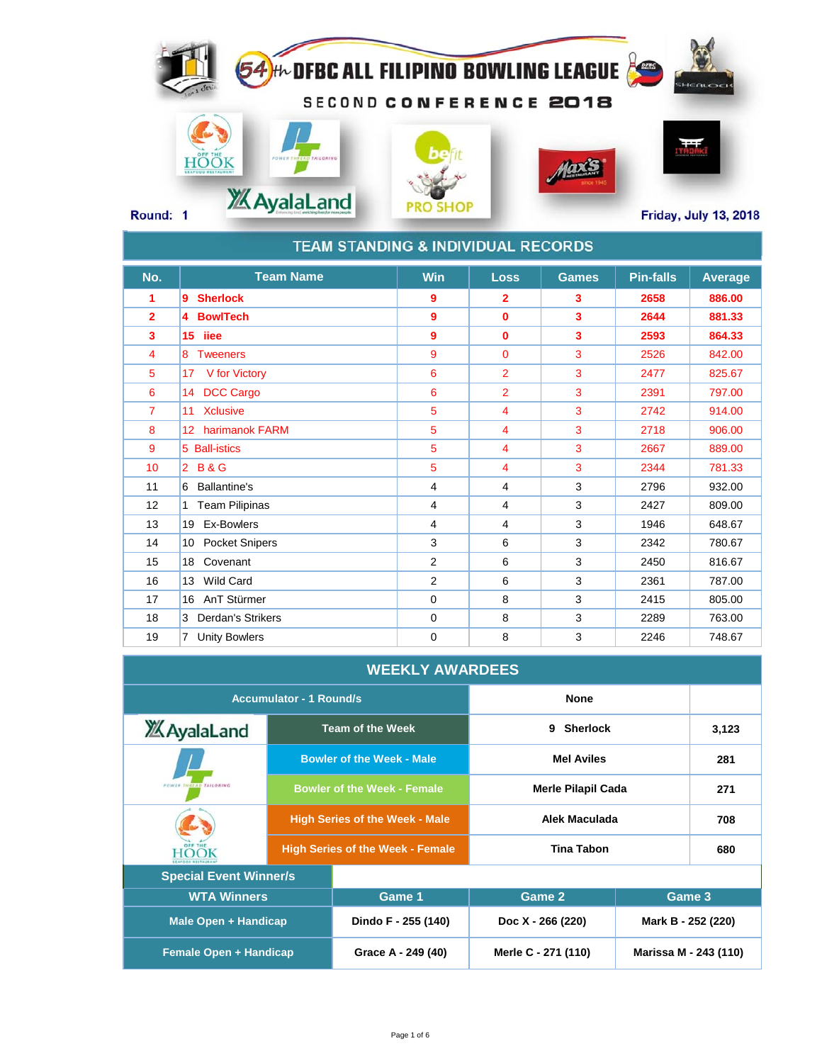## 54 HL DFBC ALL FILIPING BOWLING LEAGUE SECOND CONFERENCE 2018 **HÖÖK** Maxis **XX AyalaLand PRO SHOP Round: 1 Friday, July 13, 2018**

|                | <b>TEAM STANDING &amp; INDIVIDUAL RECORDS</b> |             |                         |              |                  |                |
|----------------|-----------------------------------------------|-------------|-------------------------|--------------|------------------|----------------|
| No.            | <b>Team Name</b>                              | Win         | <b>Loss</b>             | <b>Games</b> | <b>Pin-falls</b> | <b>Average</b> |
| 1              | 9<br><b>Sherlock</b>                          | 9           | $\overline{\mathbf{2}}$ | 3            | 2658             | 886.00         |
| $\overline{2}$ | <b>BowlTech</b><br>14                         | 9           | $\mathbf{0}$            | 3            | 2644             | 881.33         |
| 3              | 15 iiee                                       | 9           | $\bf{0}$                | 3            | 2593             | 864.33         |
| 4              | 8 Tweeners                                    | 9           | $\mathbf{0}$            | 3            | 2526             | 842.00         |
| 5              | 17 V for Victory                              | 6           | $\overline{2}$          | 3            | 2477             | 825.67         |
| 6              | <b>DCC Cargo</b><br>14                        | 6           | $\overline{2}$          | 3            | 2391             | 797.00         |
| 7              | 11 Xclusive                                   | 5           | $\overline{4}$          | 3            | 2742             | 914.00         |
| 8              | 12 harimanok FARM                             | 5           | 4                       | 3            | 2718             | 906.00         |
| 9              | 5 Ball-istics                                 | 5           | 4                       | 3            | 2667             | 889.00         |
| 10             | <b>B&amp;G</b><br>$\overline{2}$              | 5           | 4                       | 3            | 2344             | 781.33         |
| 11             | <b>Ballantine's</b><br>6                      | 4           | $\overline{4}$          | 3            | 2796             | 932.00         |
| 12             | <b>Team Pilipinas</b><br>$\mathbf{1}$         | 4           | $\overline{4}$          | 3            | 2427             | 809.00         |
| 13             | 19 Ex-Bowlers                                 | 4           | $\overline{4}$          | 3            | 1946             | 648.67         |
| 14             | 10 Pocket Snipers                             | 3           | 6                       | 3            | 2342             | 780.67         |
| 15             | Covenant<br>18                                | 2           | 6                       | 3            | 2450             | 816.67         |
| 16             | 13 Wild Card                                  | 2           | 6                       | 3            | 2361             | 787.00         |
| 17             | AnT Stürmer<br>16                             | $\mathbf 0$ | 8                       | 3            | 2415             | 805.00         |
| 18             | <b>Derdan's Strikers</b><br>3                 | $\mathbf 0$ | 8                       | 3            | 2289             | 763.00         |
| 19             | <b>Unity Bowlers</b><br>$7^{\circ}$           | 0           | 8                       | 3            | 2246             | 748.67         |

### **WEEKLY AWARDEES**

|                               | <b>Accumulator - 1 Round/s</b> |                                         | <b>None</b>               |                       |       |
|-------------------------------|--------------------------------|-----------------------------------------|---------------------------|-----------------------|-------|
| <b>XX</b> AyalaLand           |                                | <b>Team of the Week</b>                 | <b>Sherlock</b><br>9      |                       | 3,123 |
|                               |                                | <b>Bowler of the Week - Male</b>        | <b>Mel Aviles</b>         | 281                   |       |
| FOWER THREAD TAILORING        |                                | <b>Bowler of the Week - Female</b>      | <b>Merle Pilapil Cada</b> |                       | 271   |
|                               |                                | <b>High Series of the Week - Male</b>   | Alek Maculada             | 708                   |       |
|                               |                                | <b>High Series of the Week - Female</b> | <b>Tina Tabon</b>         | 680                   |       |
| <b>Special Event Winner/s</b> |                                |                                         |                           |                       |       |
| <b>WTA Winners</b>            |                                | Game 1                                  | Game 2                    | Game 3                |       |
| <b>Male Open + Handicap</b>   |                                | Dindo F - 255 (140)                     | Doc X - 266 (220)         | Mark B - 252 (220)    |       |
| <b>Female Open + Handicap</b> |                                | Grace A - 249 (40)                      | Merle C - 271 (110)       | Marissa M - 243 (110) |       |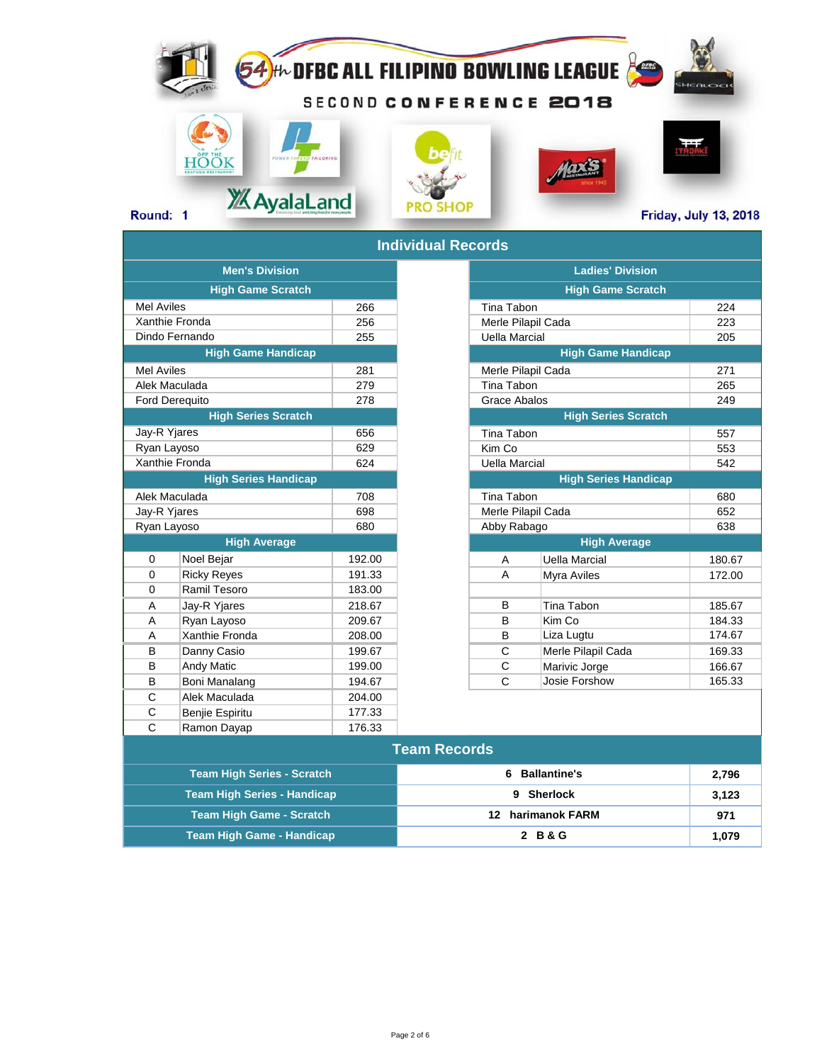# 54 the DFBC ALL FILIPINO BOWLING LEAGUE SECOND CONFERENCE 2018 **HÖÖK** Maxis Round: 1 **2/2015 Round: 1** 2018

|                       |                                   |        | iliulviuual N <del>c</del> uulus |                   |
|-----------------------|-----------------------------------|--------|----------------------------------|-------------------|
|                       | <b>Men's Division</b>             |        |                                  |                   |
|                       | <b>High Game Scratch</b>          |        |                                  |                   |
| <b>Mel Aviles</b>     |                                   | 266    |                                  | <b>Tina Tabon</b> |
|                       | Xanthie Fronda                    | 256    |                                  | Merle Pilapi      |
|                       | Dindo Fernando                    | 255    |                                  | Uella Marci       |
|                       | <b>High Game Handicap</b>         |        |                                  |                   |
| <b>Mel Aviles</b>     |                                   | 281    |                                  | Merle Pilapi      |
| Alek Maculada         |                                   | 279    |                                  | <b>Tina Tabon</b> |
| <b>Ford Derequito</b> |                                   | 278    |                                  | Grace Abal        |
|                       | <b>High Series Scratch</b>        |        |                                  |                   |
| Jay-R Yjares          |                                   | 656    |                                  | <b>Tina Tabon</b> |
| Ryan Layoso           |                                   | 629    |                                  | Kim Co            |
|                       | Xanthie Fronda                    | 624    |                                  | Uella Marci       |
|                       | <b>High Series Handicap</b>       |        |                                  |                   |
| Alek Maculada         |                                   | 708    |                                  | Tina Tabon        |
| Jay-R Yjares          |                                   | 698    |                                  | Merle Pilapi      |
| Ryan Layoso           |                                   | 680    |                                  | Abby Raba         |
|                       | <b>High Average</b>               |        |                                  |                   |
| $\Omega$              | Noel Bejar                        | 192.00 |                                  | A                 |
| $\mathbf 0$           | <b>Ricky Reyes</b>                | 191.33 |                                  | A                 |
| 0                     | Ramil Tesoro                      | 183.00 |                                  |                   |
| A                     | Jay-R Yjares                      | 218.67 |                                  | B                 |
| A                     | Ryan Layoso                       | 209.67 |                                  | B                 |
| A                     | Xanthie Fronda                    | 208.00 |                                  | B                 |
| B                     | Danny Casio                       | 199.67 |                                  | C                 |
| B                     | <b>Andy Matic</b>                 | 199.00 |                                  | C                 |
| B                     | Boni Manalang                     | 194.67 |                                  | C                 |
| C                     | Alek Maculada                     | 204.00 |                                  |                   |
| C                     | Benjie Espiritu                   | 177.33 |                                  |                   |
| C                     | Ramon Dayap                       | 176.33 |                                  |                   |
|                       |                                   |        | <b>Team Records</b>              |                   |
|                       | <b>Team High Series - Scratch</b> |        |                                  | Bal<br>6          |

#### **Individual Red**

| iliulviuual N <del>c</del> uulus |        |  |  |  |
|----------------------------------|--------|--|--|--|
| <b>Men's Division</b>            |        |  |  |  |
| <b>High Game Scratch</b>         |        |  |  |  |
| el Aviles                        | 266    |  |  |  |
| nthie Fronda                     | 256    |  |  |  |
| าdo Fernando                     | 255    |  |  |  |
| <b>High Game Handicap</b>        |        |  |  |  |
| <b>I</b> Aviles                  | 281    |  |  |  |
| ek Maculada                      | 279    |  |  |  |
| rd Derequito                     | 278    |  |  |  |
| <b>High Series Scratch</b>       |        |  |  |  |
| y-R Yjares                       | 656    |  |  |  |
| an Layoso                        | 629    |  |  |  |
| nthie Fronda                     | 624    |  |  |  |
| <b>High Series Handicap</b>      |        |  |  |  |
| ek Maculada                      | 708    |  |  |  |
| y-R Yjares                       | 698    |  |  |  |
| an Layoso                        | 680    |  |  |  |
| <b>High Average</b>              |        |  |  |  |
| 0<br>Noel Bejar                  | 192.00 |  |  |  |
| 0<br><b>Ricky Reyes</b>          | 191.33 |  |  |  |
| 0<br>Ramil Tesoro                | 183.00 |  |  |  |
| Jay-R Yjares<br>A                | 218.67 |  |  |  |
| Ryan Layoso<br>Α                 | 209.67 |  |  |  |
| Xanthie Fronda<br>Α              | 208.00 |  |  |  |
| B<br>Danny Casio                 | 199.67 |  |  |  |
| B<br><b>Andy Matic</b>           | 199.00 |  |  |  |
| B<br>Boni Manalang               | 194.67 |  |  |  |

| <b>Team Records</b>                |                     |       |  |  |  |  |  |  |  |
|------------------------------------|---------------------|-------|--|--|--|--|--|--|--|
| Team High Series - Scratch         | <b>Ballantine's</b> | 2.796 |  |  |  |  |  |  |  |
| <b>Team High Series - Handicap</b> | 9 Sherlock          | 3,123 |  |  |  |  |  |  |  |
| <b>Team High Game - Scratch</b>    | 12 harimanok FARM   | 971   |  |  |  |  |  |  |  |
| <b>Team High Game - Handicap</b>   | 2 B & G             | 1,079 |  |  |  |  |  |  |  |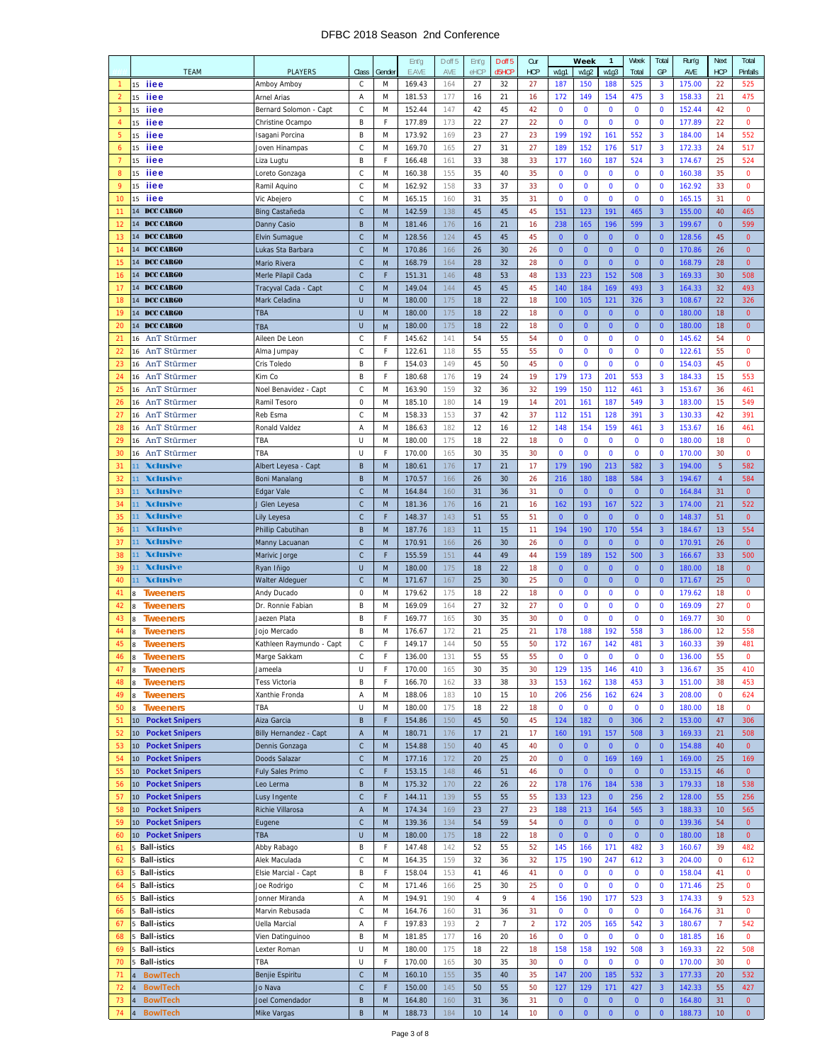#### DFBC 2018 Season 2nd Conference

|                |                                                       |              |              | Ent'g  | D off 5 | Ent'g      | D off 5            | Cur            |              | Week           | $\mathbf{1}$   | Week         | Total                   | Run'g  | Next           | Total        |
|----------------|-------------------------------------------------------|--------------|--------------|--------|---------|------------|--------------------|----------------|--------------|----------------|----------------|--------------|-------------------------|--------|----------------|--------------|
|                | <b>TEAM</b><br><b>PLAYERS</b>                         | Class        | Gender       | E.AVE  | AVE     | eHCP       | d <sub>5</sub> HCP | <b>HCP</b>     | w1q1         | w1q2           | w1q3           | Total        | GP                      | AVE    | <b>HCP</b>     | Pinfalls     |
|                | iiee<br>15<br>Amboy Amboy                             | С            | M            | 169.43 | 164     | 27         | 32                 | 27             | 187          | 150            | 188            | 525          | $\overline{\mathbf{3}}$ | 175.00 | 22             | 525          |
| $\overline{2}$ | iiee<br>15<br>Arnel Arias                             | A            | M            | 181.53 | 177     | 16         | 21                 | 16             | 172          | 149            | 154            | 475          | $\overline{\mathbf{3}}$ | 158.33 | 21             | 475          |
| 3              | iiee<br>15<br>Bernard Solomon - Capt                  | С            | M            | 152.44 | 147     | 42         | 45                 | 42             | $\mathbf 0$  | $\mathbf 0$    | 0              | 0            | $\mathbf 0$             | 152.44 | 42             | $\pmb{0}$    |
| $\overline{4}$ | iiee<br>15<br>Christine Ocampo                        | B            | F            | 177.89 | 173     | 22         | 27                 | 22             | 0            | $\bf{0}$       | $\bf{0}$       | 0            | $\mathbf 0$             | 177.89 | 22             | $\mathbf 0$  |
| 5              | iiee<br>15<br>Isagani Porcina                         | B            | M            | 173.92 | 169     | 23         | 27                 | 23             | 199          | 192            | 161            | 552          | 3                       | 184.00 | 14             | 552          |
| 6              | iiee<br>15<br>Joven Hinampas                          | С            | M            | 169.70 | 165     | 27         | 31                 | 27             | 189          | 152            | 176            | 517          | $\overline{\mathbf{3}}$ | 172.33 | 24             | 517          |
| $\overline{7}$ | iiee<br>15<br>Liza Lugtu                              | B            | F            | 166.48 | 161     | 33         | 38                 | 33             | 177          | 160            | 187            | 524          | $\overline{\mathbf{3}}$ | 174.67 | 25             | 524          |
| 8              | iiee<br>15                                            | $\mathsf C$  | M            | 160.38 | 155     | 35         | 40                 | 35             | $\mathbf 0$  | $\mathbf 0$    | $\bf{0}$       | $\pmb{0}$    | $\mathbf 0$             | 160.38 | 35             | $\mathbf 0$  |
|                | Loreto Gonzaga                                        |              |              |        |         |            |                    |                |              |                |                |              |                         |        |                |              |
| 9              | iiee<br>15<br>Ramil Aquino                            | $\mathsf C$  | M            | 162.92 | 158     | 33         | 37                 | 33             | $\mathbf 0$  | $\mathbf 0$    | $\bf{0}$       | 0            | $\mathbf 0$             | 162.92 | 33             | $\mathbf 0$  |
| 10             | iiee<br>15<br>Vic Abejero                             | C            | M            | 165.15 | 160     | 31         | 35                 | 31             | 0            | $\mathbf 0$    | $\mathbf 0$    | 0            | $\mathbf 0$             | 165.15 | 31             | $\mathbf 0$  |
| 11             | 14 DCC CARGO<br>Bing Castañeda                        | $\mathsf{C}$ | M            | 142.59 | 138     | 45         | 45                 | 45             | 151          | 123            | 191            | 465          | $\overline{3}$          | 155.00 | 40             | 465          |
| 12             | 14 DCC CARGO<br>Danny Casio                           | B            | M            | 181.46 | 176     | 16         | 21                 | 16             | 238          | 165            | 196            | 599          | $\overline{\mathbf{3}}$ | 199.67 | $\mathbf{0}$   | 599          |
| 13             | 14 DCC CARGO<br>Elvin Sumague                         | $\mathsf C$  | M            | 128.56 | 124     | 45         | 45                 | 45             | $\mathbf{0}$ | $\mathbf{0}$   | $\mathbf{0}$   | $\mathbf{0}$ | $\mathbf{0}$            | 128.56 | 45             | $\mathbf 0$  |
| 14             | 14 DCC CARGO<br>Lukas Sta Barbara                     | $\mathsf C$  | M            | 170.86 | 166     | 26         | 30                 | 26             | $\mathbf 0$  | $\mathbf{0}$   | $\mathbf{0}$   | $\mathbf{0}$ | $\mathbf{0}$            | 170.86 | 26             | $\mathbf 0$  |
| 15             | 14 DCC CARGO<br>Mario Rivera                          | $\mathsf C$  | M            | 168.79 | 164     | 28         | 32                 | 28             | $\mathbf{0}$ | $\mathbf{0}$   | $\overline{0}$ | $\bf{0}$     | $\mathbf{0}$            | 168.79 | 28             | $\pmb{0}$    |
| 16             | 14 DCC CARGO<br>Merle Pilapil Cada                    | $\mathsf C$  | F            | 151.31 | 146     | 48         | 53                 | 48             | 133          | 223            | 152            | 508          | $\overline{\mathbf{3}}$ | 169.33 | 30             | 508          |
| 17             | 14<br>DCC CARGO<br>Tracyval Cada - Capt               | C            | M            | 149.04 | 144     | 45         | 45                 | 45             | 140          | 184            | 169            | 493          | $\overline{\mathbf{3}}$ | 164.33 | 32             | 493          |
| 18             | 14 DCC CARGO<br>Mark Celadina                         | U            | M            | 180.00 | 175     | 18         | 22                 | 18             | 100          | 105            | 121            | 326          | $\overline{\mathbf{3}}$ | 108.67 | 22             | 326          |
| 19             | 14 DCC CARGO<br>TBA                                   | U            | M            | 180.00 | 175     | 18         | 22                 | 18             | $\mathbf{0}$ | $\mathbf{0}$   | $\mathbf{0}$   | $\mathbf{0}$ | $\mathbf{0}$            | 180.00 | 18             | $\mathbf 0$  |
| 20             | 14 DCC CARGO                                          | U            |              | 180.00 | 175     | 18         | 22                 | 18             | $\bf{0}$     | $\mathbf 0$    | $\mathbf{0}$   | $\mathbf{0}$ | $\mathbf{0}$            | 180.00 | 18             | $\mathbf 0$  |
| 21             | TBA<br>AnT Stürmer<br>16                              | С            | M<br>F       |        | 141     | 54         | 55                 | 54             | $\mathbf 0$  | $\mathbf 0$    | 0              | 0            | $\mathbf 0$             |        | 54             | $\mathbf 0$  |
|                | Aileen De Leon                                        |              |              | 145.62 |         |            |                    |                |              |                |                |              |                         | 145.62 |                |              |
| 22             | AnT Stürmer<br>16<br>Alma Jumpay                      | C            | F            | 122.61 | 118     | 55         | 55                 | 55             | 0            | $\mathbf 0$    | $\bf{0}$       | 0            | $\mathbf 0$             | 122.61 | 55             | $\mathbf 0$  |
| 23             | 16<br>AnT Stürmer<br>Cris Toledo                      | B            | F            | 154.03 | 149     | 45         | 50                 | 45             | 0            | $\mathbf 0$    | $\mathbf 0$    | 0            | $\mathbf 0$             | 154.03 | 45             | $\mathbf 0$  |
| 24             | AnT Stürmer<br>16<br>Kim Co                           | B            | F            | 180.68 | 176     | 19         | 24                 | 19             | 179          | 173            | 201            | 553          | $\overline{\mathbf{3}}$ | 184.33 | 15             | 553          |
| 25             | AnT Stürmer<br>16<br>Noel Benavidez - Capt            | C            | M            | 163.90 | 159     | 32         | 36                 | 32             | 199          | 150            | 112            | 461          | $\overline{\mathbf{3}}$ | 153.67 | 36             | 461          |
| 26             | AnT Stürmer<br>16<br>Ramil Tesoro                     | 0            | M            | 185.10 | 180     | 14         | 19                 | 14             | 201          | 161            | 187            | 549          | $\overline{\mathbf{3}}$ | 183.00 | 15             | 549          |
| 27             | AnT Stürmer<br>16<br>Reb Esma                         | C            | M            | 158.33 | 153     | 37         | 42                 | 37             | 112          | 151            | 128            | 391          | $\overline{\mathbf{3}}$ | 130.33 | 42             | 391          |
| 28             | AnT Stürmer<br>16<br>Ronald Valdez                    | Α            | M            | 186.63 | 182     | 12         | 16                 | 12             | 148          | 154            | 159            | 461          | 3                       | 153.67 | 16             | 461          |
| 29             | AnT Stürmer<br>16<br>TBA                              | U            | M            | 180.00 | 175     | 18         | 22                 | 18             | $\mathbf 0$  | $\mathbf 0$    | 0              | 0            | $\mathbf 0$             | 180.00 | 18             | $\mathbf 0$  |
| 30             | AnT Stürmer<br>16<br>TBA                              | U            | F            | 170.00 | 165     | 30         | 35                 | 30             | 0            | $\mathbf 0$    | $\mathbf 0$    | $\mathbf 0$  | $\mathbf 0$             | 170.00 | 30             | $\mathbf 0$  |
| 31             | <b>Xclusive</b><br>11<br>Albert Leyesa - Capt         | B            | M            | 180.61 | 176     | 17         | 21                 | 17             | 179          | 190            | 213            | 582          | $\overline{3}$          | 194.00 | 5              | 582          |
| 32             | 11 Xclusive<br><b>Boni Manalang</b>                   | B            | M            | 170.57 | 166     | 26         | 30                 | 26             | 216          | 180            | 188            | 584          | $\overline{\mathbf{3}}$ | 194.67 | $\overline{4}$ | 584          |
| 33             | <b>Xclusive</b><br>11<br>Edgar Vale                   | $\mathsf{C}$ | M            | 164.84 | 160     | 31         | 36                 | 31             | $\mathbf{0}$ | $\mathbf{0}$   | $\overline{0}$ | $\mathbf{0}$ | $\mathbf{0}$            | 164.84 | 31             | $\mathbf 0$  |
| 34             | <b>Xclusive</b><br>11                                 | $\mathsf{C}$ | M            | 181.36 | 176     | 16         | 21                 | 16             | 162          | 193            | 167            | 522          | $\overline{3}$          | 174.00 | 21             | 522          |
|                | J Glen Leyesa                                         |              | F            |        |         |            |                    |                |              |                |                |              |                         |        |                |              |
| 35             | <b>Xclusive</b><br>11<br>Lily Leyesa                  | $\mathsf C$  |              | 148.37 | 143     | 51         | 55                 | 51             | $\mathbf 0$  | $\mathbf{0}$   | $\mathbf{0}$   | $\mathbf{0}$ | $\mathbf{0}$            | 148.37 | 51             | $\mathbf 0$  |
| 36             | <b>Xclusive</b><br>11<br>Phillip Cabutihan            | B            | M            | 187.76 | 183     | 11         | 15                 | 11             | 194          | 190            | 170            | 554          | $\overline{\mathbf{3}}$ | 184.67 | 13             | 554          |
| 37             | 11 Xclusive<br>Manny Lacuanan                         | $\mathsf{C}$ | M            | 170.91 | 166     | 26         | 30                 | 26             | $\mathbf{0}$ | $\mathbf{0}$   | $\overline{0}$ | $\mathbf{0}$ | $\mathbf{0}$            | 170.91 | 26             | $\mathbf 0$  |
| 38             | <b>Xclusive</b><br>11<br>Marivic Jorge                | $\mathsf{C}$ | F            | 155.59 | 151     | 44         | 49                 | 44             | 159          | 189            | 152            | 500          | $\overline{\mathbf{3}}$ | 166.67 | 33             | 500          |
| 39             | <b>Xclusive</b><br>11<br>Ryan Iñigo                   | U            | M            | 180.00 | 175     | 18         | 22                 | 18             | $\mathbf{0}$ | $\mathbf{0}$   | $\mathbf{0}$   | $\mathbf{0}$ | $\mathbf{0}$            | 180.00 | 18             | $\mathbf 0$  |
| 40             | <b>Xclusive</b><br>11<br>Walter Aldeguer              | $\mathsf C$  | M            | 171.67 | 167     | 25         | 30                 | 25             | $\mathbf 0$  | $\mathbf{0}$   | $\mathbf{0}$   | $\pmb{0}$    | $\mathbf{0}$            | 171.67 | 25             | $\mathbf 0$  |
| 41             | 8<br><b>Tweeners</b><br>Andy Ducado                   | 0            | M            | 179.62 | 175     | 18         | 22                 | 18             | 0            | 0              | $\bf{0}$       | 0            | $\mathbf 0$             | 179.62 | 18             | $\mathbf 0$  |
| 42             | <b>Tweeners</b><br>Dr. Ronnie Fabian<br>$\mathbf{8}$  | B            | M            | 169.09 | 164     | 27         | 32                 | 27             | 0            | $\bf{0}$       | 0              | 0            | $\mathbf 0$             | 169.09 | 27             | 0            |
| 43             | <b>Tweeners</b><br>Jaezen Plata<br>8                  | B            | F            | 169.77 | 165     | 30         | 35                 | 30             | $\mathbf 0$  | $\mathbf 0$    | $\mathbf{0}$   | $\bf{0}$     | $\mathbf 0$             | 169.77 | 30             | 0            |
| 44             | <b>Tweeners</b><br>$\mathbf{8}$<br>Jojo Mercado       | B            | M            | 176.67 | 172     | 21         | 25                 | 21             | 178          | 188            | 192            | 558          | $\overline{\mathbf{3}}$ | 186.00 | 12             | 558          |
| 45             | <b>Tweeners</b><br>8<br>Kathleen Raymundo - Capt      | С            | F            | 149.17 | 144     | 50         | 55                 | 50             | 172          | 167            | 142            | 481          | 3                       | 160.33 | 39             | 481          |
| 46             | 8 Tweeners<br>Marge Sakkam                            | С            | F            | 136.00 | 131     | 55         | 55                 | 55             | 0            | 0              | 0              | 0            | 0                       | 136.00 | 55             | $\Omega$     |
| 47             | <b>Tweeners</b><br>8<br>Jameela                       | U            | F            | 170.00 | 165     | 30         | 35                 | 30             | 129          | 135            | 146            | 410          | 3                       | 136.67 | 35             | 410          |
| 48             | <b>Tweeners</b><br>Tess Victoria                      | B            | F            | 166.70 | 162     | 33         | 38                 | 33             | 153          | 162            | 138            | 453          | 3                       | 151.00 | 38             | 453          |
|                | 8<br>Xanthie Fronda                                   |              |              |        |         |            |                    |                |              |                |                |              |                         |        | $\mathbf 0$    |              |
| 49             | <b>Tweeners</b><br>8                                  | Α            | M            | 188.06 | 183     | 10         | 15                 | 10             | 206          | 256            | 162            | 624          | $\mathbf{3}$            | 208.00 |                | 624          |
| 50             | <b>Tweeners</b><br>$\bf 8$<br>TBA                     | U            | M            | 180.00 | 175     | 18         | 22                 | 18             | $\mathbf 0$  | $\mathbf 0$    | $\mathbf 0$    | $\mathbf 0$  | $\mathbf 0$             | 180.00 | 18             | $\mathbf 0$  |
| 51             | <b>Pocket Snipers</b><br>10<br>Aiza Garcia            | B            | F            | 154.86 | 150     | 45         | 50                 | 45             | 124          | 182            | $\mathbf{0}$   | 306          | $\overline{2}$          | 153.00 | 47             | 306          |
| 52             | 10<br><b>Pocket Snipers</b><br>Billy Hernandez - Capt | A            | ${\sf M}$    | 180.71 | 176     | 17         | 21                 | 17             | 160          | 191            | 157            | 508          | $\overline{\mathbf{3}}$ | 169.33 | 21             | 508          |
| 53             | <b>Pocket Snipers</b><br>Dennis Gonzaga<br>10         | $\mathsf C$  | ${\sf M}$    | 154.88 | 150     | 40         | 45                 | 40             | $\pmb{0}$    | $\mathbf{0}$   | $\mathbf 0$    | $\mathbf{0}$ | $\mathbf 0$             | 154.88 | 40             | $\mathbf 0$  |
| 54             | <b>Pocket Snipers</b><br>10<br>Doods Salazar          | $\mathsf C$  | M            | 177.16 | 172     | 20         | 25                 | 20             | $\mathbf{0}$ | $\mathbf{0}$   | 169            | 169          | $\mathbf{1}$            | 169.00 | 25             | 169          |
| 55             | 10 Pocket Snipers<br>Fuly Sales Primo                 | $\mathsf{C}$ | F            | 153.15 | 148     | 46         | 51                 | 46             | $\mathbf{0}$ | $\overline{0}$ | $\mathbf{0}$   | $\mathbf{0}$ | $\mathbf{0}$            | 153.15 | 46             | $\mathbf{0}$ |
| 56             | Leo Lerma<br>10 Pocket Snipers                        | B            | M            | 175.32 | 170     | 22         | 26                 | 22             | 178          | 176            | 184            | 538          | $\overline{\mathbf{3}}$ | 179.33 | 18             | 538          |
| 57             | <b>Pocket Snipers</b><br>Lusy Ingente<br>10           | $\mathsf C$  | F            | 144.11 | 139     | 55         | 55                 | 55             | 133          | 123            | $\mathbf{0}$   | 256          | $\overline{2}$          | 128.00 | 55             | 256          |
| 58             | <b>Pocket Snipers</b><br>Richie Villarosa<br>10       | A            | M            | 174.34 | 169     | 23         | 27                 | 23             | 188          | 213            | 164            | 565          | $\overline{\mathbf{3}}$ | 188.33 | 10             | 565          |
| 59             | 10 Pocket Snipers<br>Eugene                           | $\mathsf C$  | M            | 139.36 | 134     | 54         | 59                 | 54             | $\mathbf 0$  | $\mathbf{0}$   | $\mathbf 0$    | $\mathbf{0}$ | $\mathbf{0}$            | 139.36 | 54             | $\mathbf 0$  |
| 60             | TBA<br>10 Pocket Snipers                              | U            | M            | 180.00 | 175     | 18         | 22                 | 18             | $\mathbf 0$  | $\overline{0}$ | $\mathbf 0$    | $\mathbf{0}$ | $\bf{0}$                | 180.00 | 18             | $\mathbf 0$  |
| 61             | <b>Ball-istics</b><br>Abby Rabago<br>5                | B            | F            | 147.48 | 142     | 52         | 55                 | 52             | 145          | 166            | 171            | 482          | $\overline{\mathbf{3}}$ | 160.67 | 39             | 482          |
| 62             | 5 Ball-istics<br>Alek Maculada                        | С            | M            | 164.35 | 159     | 32         | 36                 | 32             | 175          | 190            | 247            | 612          | $\mathbf{3}$            | 204.00 | 0              | 612          |
| 63             | <b>Ball-istics</b><br>Elsie Marcial - Capt<br>5       | B            | $\mathsf{F}$ | 158.04 | 153     | 41         | 46                 | 41             | $\mathbf 0$  | $\mathbf 0$    | $\mathbf 0$    | $\pmb{0}$    | $\mathbf 0$             | 158.04 | 41             | $\mathbf 0$  |
| 64             | 5                                                     | С            | M            |        |         | 25         | 30                 |                | $\mathbf 0$  | $\mathbf 0$    | $\mathbf 0$    | $\pmb{0}$    | $\bf{0}$                |        | 25             | $\mathbf 0$  |
|                | <b>Ball-istics</b><br>Joe Rodrigo                     |              |              | 171.46 | 166     |            |                    | 25             |              |                |                |              |                         | 171.46 |                |              |
| 65             | <b>Ball-istics</b><br>Jonner Miranda<br>5             | Α            | M            | 194.91 | 190     | $\sqrt{4}$ | 9                  | 4              | 156          | 190            | 177            | 523          | $\mathbf{3}$            | 174.33 | 9              | 523          |
| 66             | 5 Ball-istics<br>Marvin Rebusada                      | C            | M            | 164.76 | 160     | 31         | 36                 | 31             | $\bf{0}$     | $\mathbf 0$    | 0              | 0            | $\mathbf 0$             | 164.76 | 31             | 0            |
| 67             | 5 Ball-istics<br>Uella Marcial                        | Α            | F            | 197.83 | 193     | $\sqrt{2}$ | $\overline{7}$     | $\overline{2}$ | 172          | 205            | 165            | 542          | $\overline{\mathbf{3}}$ | 180.67 | 7              | 542          |
| 68             | 5 Ball-istics<br>Vien Datinguinoo                     | B            | M            | 181.85 | 177     | 16         | 20                 | 16             | $\mathbf 0$  | $\pmb{0}$      | 0              | $\pmb{0}$    | $\mathbf 0$             | 181.85 | 16             | 0            |
| 69             | 5 Ball-istics<br>Lexter Roman                         | U            | M            | 180.00 | 175     | 18         | 22                 | 18             | 158          | 158            | 192            | 508          | $\overline{\mathbf{3}}$ | 169.33 | 22             | 508          |
| 70             | <b>Ball-istics</b><br>TBA<br>5                        | U            | F            | 170.00 | 165     | 30         | 35                 | 30             | $\mathbf 0$  | $\mathbf 0$    | $\mathbf 0$    | $\mathbf 0$  | $\mathbf 0$             | 170.00 | 30             | $\mathbf 0$  |
| 71             | Benjie Espiritu<br><b>BowlTech</b><br>$\overline{4}$  | C            | M            | 160.10 | 155     | 35         | 40                 | 35             | 147          | 200            | 185            | 532          | $\overline{\mathbf{3}}$ | 177.33 | 20             | 532          |
| 72             | <b>BowlTech</b><br>$\overline{4}$<br>Jo Nava          | $\mathsf C$  | F            | 150.00 | 145     | 50         | 55                 | 50             | 127          | 129            | 171            | 427          | $\overline{3}$          | 142.33 | 55             | 427          |
| 73             | <b>BowlTech</b><br>Joel Comendador<br>$\overline{4}$  | B            | M            | 164.80 | 160     | 31         | 36                 | 31             | $\mathbf{0}$ | $\mathbf{0}$   | $\mathbf{0}$   | $\mathbf{0}$ | $\mathbf{0}$            | 164.80 | 31             | $\mathbf{0}$ |
| 74             | 4 BowlTech<br>Mike Vargas                             | B            | M            | 188.73 | 184     | 10         | 14                 | 10             | $\mathbf{0}$ | $\bullet$      | $\mathbf{0}$   | $\mathbf{0}$ | $\overline{0}$          | 188.73 | 10             | $\mathbf{0}$ |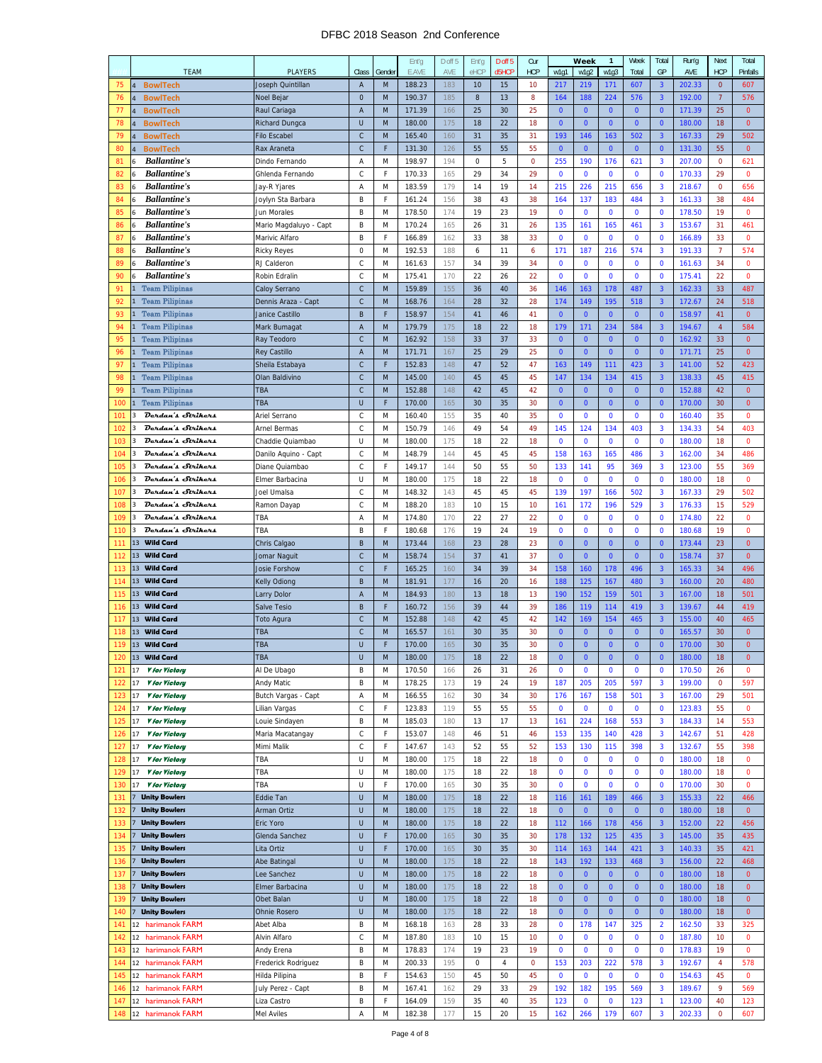#### DFBC 2018 Season 2nd Conference

|            |                                                              |                         |              | Ent'g  | D off 5    | Ent'g    | D off 5            | Cur         |                | Week           | $\mathbf{1}$   | Week         | Total                   | Run'g  | <b>Next</b>    | Total        |
|------------|--------------------------------------------------------------|-------------------------|--------------|--------|------------|----------|--------------------|-------------|----------------|----------------|----------------|--------------|-------------------------|--------|----------------|--------------|
|            | <b>TEAM</b>                                                  | <b>PLAYERS</b><br>Class | Gender       | E.AVE  | AVE        | eHCP     | d <sub>5</sub> HCP | <b>HCP</b>  | w1g1           | w1g2           | w1g3           | Total        | GP                      | AVE    | <b>HCP</b>     | Pinfalls     |
| 75         | <b>BowlTech</b><br>Joseph Quintillan<br>$\overline{4}$       | A                       | M            | 188.23 | 183        | 10       | 15                 | 10          | 217            | 219            | 171            | 607          | 3                       | 202.33 | 0              | 607          |
| 76         | <b>BowlTech</b><br>$\overline{a}$<br>Noel Bejar              | $\mathbf{0}$            | M            | 190.37 | 185        | 8        | 13                 | 8           | 164            | 188            | 224            | 576          | $\overline{\mathbf{3}}$ | 192.00 | $\overline{7}$ | 576          |
| 77         | <b>BowlTech</b><br>Raul Cariaga<br>$\overline{4}$            | Α                       | M            | 171.39 | 166        | 25       | 30                 | 25          | $\mathbf{0}$   | $\mathbf{0}$   | $\overline{0}$ | $\mathbf{0}$ | $\mathbf{0}$            | 171.39 | 25             | $\mathbf 0$  |
| 78         | $\overline{4}$<br><b>BowlTech</b><br><b>Richard Dungca</b>   | U                       | M            | 180.00 | 175        | 18       | 22                 | 18          | $\mathbf{0}$   | $\mathbf{0}$   | $\mathbf{0}$   | $\bf{0}$     | $\mathbf{0}$            | 180.00 | 18             | $\mathbf 0$  |
| 79         | <b>BowlTech</b><br>$\overline{4}$<br><b>Filo Escabel</b>     | $\mathsf C$             | M            | 165.40 | 160        | 31       | 35                 | 31          | 193            | 146            | 163            | 502          | $\overline{\mathbf{3}}$ | 167.33 | 29             | 502          |
|            | <b>BowlTech</b><br>$\overline{4}$                            |                         | F            |        |            |          |                    |             | $\mathbf{0}$   | $\overline{0}$ | $\mathbf{0}$   |              | $\mathbf{0}$            |        |                |              |
| 80         | Rax Araneta                                                  | С                       |              | 131.30 | 126        | 55       | 55                 | 55          |                |                |                | $\pmb{0}$    |                         | 131.30 | 55             | $\mathbf 0$  |
| 81         | <b>Ballantine's</b><br>6<br>Dindo Fernando                   | Α                       | M            | 198.97 | 194        | 0        | 5                  | $\mathbf 0$ | 255            | 190            | 176            | 621          | 3                       | 207.00 | $\mathbf 0$    | 621          |
| 82         | <b>Ballantine's</b><br>Ghlenda Fernando<br>6                 | C                       | F            | 170.33 | 165        | 29       | 34                 | 29          | $\mathbf 0$    | $\mathbf 0$    | $\mathbf 0$    | 0            | $\mathbf 0$             | 170.33 | 29             | $\mathbf 0$  |
| 83         | <b>Ballantine's</b><br>6<br>Jay-R Yjares                     | Α                       | M            | 183.59 | 179        | 14       | 19                 | 14          | 215            | 226            | 215            | 656          | $\overline{\mathbf{3}}$ | 218.67 | 0              | 656          |
| 84         | <b>Ballantine's</b><br>$6\phantom{1}6$<br>Joylyn Sta Barbara | B                       | F            | 161.24 | 156        | 38       | 43                 | 38          | 164            | 137            | 183            | 484          | $\overline{\mathbf{3}}$ | 161.33 | 38             | 484          |
| 85         | <b>Ballantine's</b><br>Jun Morales<br>6                      | B                       | M            | 178.50 | 174        | 19       | 23                 | 19          | $\mathbf 0$    | $\mathbf 0$    | 0              | $\mathbf 0$  | $\mathbf 0$             | 178.50 | 19             | 0            |
| 86         | <b>Ballantine's</b><br>Mario Magdaluyo - Capt<br>6           | B                       | M            | 170.24 | 165        | 26       | 31                 | 26          | 135            | 161            | 165            | 461          | $\overline{\mathbf{3}}$ | 153.67 | 31             | 461          |
| 87         | <b>Ballantine's</b><br>Marivic Alfaro<br>6                   | B                       | F            | 166.89 | 162        | 33       | 38                 | 33          | 0              | $\mathbf 0$    | 0              | 0            | $\mathbf 0$             | 166.89 | 33             | 0            |
| 88         | <b>Ballantine's</b><br>6<br><b>Ricky Reyes</b>               | 0                       | M            | 192.53 | 188        | 6        | 11                 | 6           | 171            | 187            | 216            | 574          | 3                       | 191.33 | $\overline{7}$ | 574          |
| 89         | <b>Ballantine's</b><br>RJ Calderon<br>$6\phantom{1}6$        | С                       | M            | 161.63 | 157        | 34       | 39                 | 34          | $\mathbf 0$    | $\mathbf 0$    | $\mathbf{0}$   | $\mathbf 0$  | $\mathbf 0$             | 161.63 | 34             | $\mathbf{0}$ |
| 90         | <b>Ballantine's</b><br>6<br>Robin Edralin                    | C                       | M            | 175.41 | 170        | 22       | 26                 | 22          | $\mathbf 0$    | $\mathbf 0$    | $\bf{0}$       | $\bf{0}$     | $\mathbf{0}$            | 175.41 | 22             | 0            |
| 91         | $\mathbf{1}$<br><b>Team Pilipinas</b><br>Caloy Serrano       | $\mathsf C$             | M            | 159.89 | 155        | 36       | 40                 | 36          | 146            | 163            | 178            | 487          | $\overline{\mathbf{3}}$ | 162.33 | 33             | 487          |
| 92         | <b>Team Pilipinas</b><br>$\mathbf{1}$<br>Dennis Araza - Capt | $\mathsf C$             | M            | 168.76 | 164        | 28       | 32                 | 28          | 174            | 149            | 195            | 518          | $\overline{\mathbf{3}}$ | 172.67 | 24             | 518          |
| 93         | <b>Team Pilipinas</b><br>$\overline{1}$<br>Janice Castillo   | B                       | F            | 158.97 | 154        | 41       | 46                 | 41          | $\mathbf{0}$   | $\overline{0}$ | $\mathbf{0}$   | $\pmb{0}$    | $\mathbf{0}$            | 158.97 | 41             | $\mathbf 0$  |
| 94         | <b>Team Pilipinas</b><br>Mark Bumagat                        | Α                       | M            | 179.79 | 175        | 18       | 22                 | 18          | 179            | 171            | 234            | 584          | $\overline{\mathbf{3}}$ | 194.67 | $\overline{4}$ | 584          |
| 95         | <b>Team Pilipinas</b>                                        | $\mathsf{C}$            | M            |        | 158        |          |                    |             | $\mathbf{0}$   | $\mathbf{0}$   | $\overline{0}$ |              | $\mathbf{0}$            |        |                | $\mathbf{0}$ |
|            | Ray Teodoro                                                  |                         |              | 162.92 |            | 33       | 37                 | 33          |                |                | $\overline{0}$ | $\mathbf{0}$ |                         | 162.92 | 33             |              |
| 96         | $\mathbf{1}$<br><b>Team Pilipinas</b><br>Rey Castillo        | Α                       | M            | 171.71 | 167        | 25       | 29                 | 25          | $\mathbf 0$    | $\mathbf{0}$   |                | $\mathbf{0}$ | $\mathbf{0}$            | 171.71 | 25             | $\mathbf 0$  |
| 97         | $\,1\,$<br><b>Team Pilipinas</b><br>Sheila Estabaya          | $\mathsf C$             | F            | 152.83 | 148        | 47       | 52                 | 47          | 163            | 149            | 111            | 423          | $\overline{\mathbf{3}}$ | 141.00 | 52             | 423          |
| 98         | <b>Team Pilipinas</b><br>$\mathbf{1}$<br>Olan Baldivino      | $\mathsf{C}$            | M            | 145.00 | 140        | 45       | 45                 | 45          | 147            | 134            | 134            | 415          | $\overline{\mathbf{3}}$ | 138.33 | 45             | 415          |
| 99         | <b>Team Pilipinas</b><br>TBA<br>$\mathbf{1}$                 | $\mathsf C$             | M            | 152.88 | 148        | 42       | 45                 | 42          | $\mathbf 0$    | $\overline{0}$ | $\mathbf{0}$   | $\mathbf{0}$ | $\mathbf{0}$            | 152.88 | 42             | $\pmb{0}$    |
| 100        | <b>Team Pilipinas</b><br>TBA<br>$\mathbf{1}$                 | U                       | F            | 170.00 | 165        | 30       | 35                 | 30          | $\mathbf 0$    | $\mathbf{0}$   | $\mathbf{0}$   | $\mathbf{0}$ | $\mathbf{0}$            | 170.00 | 30             | $\mathbf 0$  |
| 101        | 3<br>Derdan's Strikers<br>Ariel Serrano                      | C                       | M            | 160.40 | 155        | 35       | 40                 | 35          | $\mathbf 0$    | $\mathbf 0$    | $\mathbf 0$    | 0            | $\mathbf 0$             | 160.40 | 35             | $\mathbf 0$  |
| 102        | Derdan's Strikers<br>3<br>Arnel Bermas                       | C                       | M            | 150.79 | 146        | 49       | 54                 | 49          | 145            | 124            | 134            | 403          | $\overline{\mathbf{3}}$ | 134.33 | 54             | 403          |
| 103        | Derdan's Strikers<br>3<br>Chaddie Quiambao                   | U                       | M            | 180.00 | 175        | 18       | 22                 | 18          | $\mathbf 0$    | $\mathbf 0$    | $\mathbf{0}$   | $\mathbf 0$  | $\mathbf 0$             | 180.00 | 18             | $\mathbf 0$  |
| 104        | 3<br>Dendan's Strikers<br>Danilo Aquino - Capt               | C                       | M            | 148.79 | 144        | 45       | 45                 | 45          | 158            | 163            | 165            | 486          | $\overline{\mathbf{3}}$ | 162.00 | 34             | 486          |
| 105        | $\overline{3}$<br>Derdan's Strikers<br>Diane Quiambao        | C                       | F            | 149.17 | 144        | 50       | 55                 | 50          | 133            | 141            | 95             | 369          | 3                       | 123.00 | 55             | 369          |
| 106        | 3<br>Dendan's Strikers<br>Elmer Barbacina                    | U                       | M            | 180.00 | 175        | 18       | 22                 | 18          | 0              | $\bf{0}$       | $\mathbf 0$    | 0            | $\mathbf 0$             | 180.00 | 18             | $\mathbf 0$  |
| 107        | Derdan's Strikers<br>Joel Umalsa<br>3                        | C                       | M            | 148.32 | 143        | 45       | 45                 | 45          | 139            | 197            | 166            | 502          | 3                       | 167.33 | 29             | 502          |
| 108        | Derdan's Strikers<br>3<br>Ramon Dayap                        | С                       | M            | 188.20 | 183        | 10       | 15                 | 10          | 161            | 172            | 196            | 529          | $\overline{\mathbf{3}}$ | 176.33 | 15             | 529          |
| 109        | Dendan's Strikers<br>TBA<br>3                                | Α                       | M            | 174.80 | 170        | 22       | 27                 | 22          | $\bf{0}$       | $\mathbf 0$    | $\mathbf 0$    | $\bf{0}$     | $\mathbf 0$             | 174.80 | 22             | $\mathbf 0$  |
| 110        | 3<br>Dendan's Strikers<br>TBA                                | B                       | F            | 180.68 | 176        | 19       | 24                 | 19          | $\mathbf 0$    | $\mathbf 0$    | $\mathbf 0$    | 0            | $\mathbf 0$             | 180.68 | 19             | $\mathbf 0$  |
|            |                                                              |                         |              |        |            |          |                    |             |                |                |                |              |                         |        |                |              |
|            |                                                              |                         |              |        |            |          |                    |             |                |                |                |              |                         |        |                |              |
| 111        | <b>Wild Card</b><br>13<br>Chris Calgao                       | B                       | M            | 173.44 | 168        | 23       | 28                 | 23          | $\mathbf 0$    | $\mathbf{0}$   | $\mathbf{0}$   | $\mathbf{0}$ | $\mathbf{0}$            | 173.44 | 23             | $\mathbf 0$  |
| 112        | 13 Wild Card<br>Jomar Naguit                                 | $\mathsf C$             | M            | 158.74 | 154        | 37       | 41                 | 37          | $\mathbf 0$    | $\overline{0}$ | $\mathbf{0}$   | $\mathbf{0}$ | $\mathbf{0}$            | 158.74 | 37             | $\mathbf 0$  |
| 113        | <b>Wild Card</b><br>13<br>Josie Forshow                      | $\mathsf C$             | F            | 165.25 | 160        | 34       | 39                 | 34          | 158            | 160            | 178            | 496          | $\overline{\mathbf{3}}$ | 165.33 | 34             | 496          |
| 114        | 13 Wild Card<br>Kelly Odiong                                 | B                       | M            | 181.91 | 177        | 16       | 20                 | 16          | 188            | 125            | 167            | 480          | $\overline{\mathbf{3}}$ | 160.00 | 20             | 480          |
| 115        | 13<br><b>Wild Card</b><br>Larry Dolor                        | A                       | M            | 184.93 | 180        | 13       | 18                 | 13          | 190            | 152            | 159            | 501          | $\overline{3}$          | 167.00 | 18             | 501          |
| 116        | <b>Wild Card</b><br>13<br>Salve Tesio                        | B                       | F            | 160.72 | 156        | 39       | 44                 | 39          | 186            | 119            | 114            | 419          | $\overline{3}$          | 139.67 | 44             | 419          |
| 117        | 13 Wild Card<br><b>Toto Agura</b>                            | $\mathsf C$             | M            | 152.88 | 148        | 42       | 45                 | 42          | 142            | 169            | 154            | 465          | $\overline{\mathbf{3}}$ | 155.00 | 40             | 465          |
| 118        | 13<br><b>Wild Card</b><br>TBA                                | $\mathsf C$             | M            | 165.57 | 161        | 30       | 35                 | 30          | $\bf{0}$       | $\mathbf{0}$   | $\mathbf{0}$   | $\bf{0}$     | $\mathbf 0$             | 165.57 | 30             | $\mathbf{0}$ |
| 119        | <b>Wild Card</b><br>13<br>TBA                                | U                       | F            | 170.00 | 165        | 30       | 35                 | 30          | $\overline{0}$ | $\overline{0}$ | $\mathbf{0}$   | $\mathbf{0}$ | $\overline{0}$          | 170.00 | 30             | $\mathbf{0}$ |
| 120        | 13 Wild Card<br>TBA                                          | U                       | $\mathsf{M}$ | 180.00 | 175        | 18       | 22                 | 18          | $\mathbf 0$    | υ              | $\mathbf 0$    | U            | $\overline{\mathbf{0}}$ | 180.00 | 18             | 0            |
| 121        | Al De Ubago<br>17<br>V for Victory                           | B                       | M            | 170.50 | 166        | 26       | 31                 | 26          | $\mathbf 0$    | $\mathbf 0$    | 0              | $\mathbf 0$  | $\mathbf 0$             | 170.50 | 26             | 0            |
| 122        | 17<br><b><i>V</i></b> for Victory<br>Andy Matic              | B                       | M            | 178.25 | 173        | 19       | 24                 | 19          | 187            | 205            | 205            | 597          | $\overline{\mathbf{3}}$ | 199.00 | $\mathbf 0$    | 597          |
| 123        | V for Victory<br>Butch Vargas - Capt<br>17                   | Α                       | M            | 166.55 | 162        | 30       | 34                 | 30          | 176            | 167            | 158            | 501          | $\overline{\mathbf{3}}$ | 167.00 | 29             | 501          |
| 124        | <b>V</b> for Victory<br>Lilian Vargas<br>17                  | $\mathsf C$             | F            | 123.83 | 119        | 55       | 55                 | 55          | $\mathbf 0$    | $\mathbf 0$    | 0              | 0            | $\pmb{0}$               | 123.83 | 55             | $\pmb{0}$    |
| 125        | <b>V</b> for Victory<br>Louie Sindayen<br>17                 | B                       | M            | 185.03 | 180        | 13       | 17                 | 13          | 161            | 224            | 168            | 553          | 3                       | 184.33 | 14             | 553          |
| 126        | V for Victory<br>Maria Macatangay<br>17                      | С                       | F            | 153.07 | 148        | 46       | 51                 | 46          | 153            | 135            | 140            | 428          | $\overline{\mathbf{3}}$ | 142.67 | 51             | 428          |
| 127        | 17<br><b><i>V</i></b> for Victory<br>Mimi Malik              | $\mathsf C$             | F            | 147.67 | 143        | 52       | 55                 | 52          | 153            | 130            | 115            | 398          | $\mathbf{3}$            | 132.67 | 55             | 398          |
| 128        | TBA<br><b><i>V</i></b> for Victory<br>17                     | U                       | M            | 180.00 | 175        | 18       | 22                 | 18          | $\mathbf 0$    | $\mathbf 0$    | $\mathbf 0$    | $\pmb{0}$    | $\mathbf 0$             | 180.00 | 18             | $\mathbf 0$  |
| 129        | 17<br><b><i>V</i></b> for Victory<br>TBA                     | U                       | M            | 180.00 | 175        | 18       | 22                 | 18          | 0              | $\mathbf 0$    | 0              | 0            | $\pmb{0}$               | 180.00 | 18             | 0            |
| 130        | <b><i>V</i></b> for Victory<br>TBA<br>17                     | U                       | F            | 170.00 | 165        | 30       | 35                 | 30          | $\mathbf 0$    | $\mathbf 0$    | 0              | 0            | $\mathbf 0$             | 170.00 | 30             | 0            |
| 131        | <b>Unity Bowlers</b><br>Eddie Tan                            | U                       | M            | 180.00 | 175        | 18       | 22                 | 18          | 116            | 161            | 189            | 466          | $\overline{\mathbf{3}}$ | 155.33 | 22             | 466          |
| 132        | <b>Unity Bowlers</b><br>Arman Ortiz                          | U                       | M            | 180.00 | 175        | 18       | 22                 | 18          | $\mathbf{0}$   | $\mathbf{0}$   | $\mathbf{0}$   | $\mathbf{0}$ | $\mathbf{0}$            | 180.00 | 18             | $\mathbf{0}$ |
|            | <b>Unity Bowlers</b><br>Eric Yoro                            | U                       |              |        |            |          |                    |             |                |                |                |              |                         |        | 22             |              |
| 133<br>134 | <b>Unity Bowlers</b>                                         | U                       | M<br>F       | 180.00 | 175<br>165 | 18<br>30 | 22<br>35           | 18          | 112            | 166            | 178            | 456          | $\overline{\mathbf{3}}$ | 152.00 | 35             | 456<br>435   |
|            | Glenda Sanchez                                               |                         |              | 170.00 |            |          |                    | 30          | 178            | 132            | 125            | 435          | $\overline{3}$          | 145.00 |                |              |
| 135        | <b>Unity Bowlers</b><br>Lita Ortiz                           | U                       | F            | 170.00 | 165        | 30       | 35                 | 30          | 114            | 163            | 144            | 421          | $\overline{3}$          | 140.33 | 35             | 421          |
| 136        | Abe Batingal<br><b>Unity Bowlers</b>                         | U                       | M            | 180.00 | 175        | 18       | 22                 | 18          | 143            | 192            | 133            | 468          | $\overline{\mathbf{3}}$ | 156.00 | 22             | 468          |
| 137        | <b>Unity Bowlers</b><br>Lee Sanchez                          | U                       | M            | 180.00 | 175        | 18       | 22                 | 18          | $\mathbf 0$    | $\mathbf{0}$   | $\mathbf{0}$   | $\pmb{0}$    | $\mathbf{0}$            | 180.00 | 18             | $\mathbf 0$  |
| 138        | <b>Unity Bowlers</b><br>Elmer Barbacina                      | U                       | M            | 180.00 | 175        | 18       | 22                 | 18          | $\mathbf 0$    | $\mathbf 0$    | $\mathbf{0}$   | $\mathbf{0}$ | $\mathbf{0}$            | 180.00 | 18             | $\mathbf{0}$ |
| 139        | <b>Unity Bowlers</b><br>Obet Balan                           | U                       | M            | 180.00 | 175        | 18       | 22                 | 18          | $\mathbf{0}$   | $\mathbf{0}$   | $\mathbf{0}$   | $\mathbf{0}$ | $\mathbf{0}$            | 180.00 | 18             | $\mathbf{0}$ |
| 140        | <b>Unity Bowlers</b><br>Ohnie Rosero                         | U                       | M            | 180.00 | 175        | 18       | 22                 | 18          | $\pmb{0}$      | $\mathbf{0}$   | $\mathbf{0}$   | $\mathbf{0}$ | $\mathbf{0}$            | 180.00 | 18             | $\mathbf 0$  |
| 141        | 12 harimanok FARM<br>Abet Alba                               | B                       | M            | 168.18 | 163        | 28       | 33                 | 28          | $\mathbf 0$    | 178            | 147            | 325          | $\overline{2}$          | 162.50 | 33             | 325          |
| 142        | 12 harimanok FARM<br>Alvin Alfaro                            | $\mathsf C$             | M            | 187.80 | 183        | 10       | 15                 | 10          | $\mathbf 0$    | $\mathbf 0$    | 0              | 0            | $\pmb{0}$               | 187.80 | 10             | 0            |
| 143        | 12 harimanok FARM<br>Andy Erena                              | B                       | M            | 178.83 | 174        | 19       | 23                 | 19          | $\bf{0}$       | $\pmb{0}$      | $\bf{0}$       | 0            | $\mathbf 0$             | 178.83 | 19             | 0            |
| 144        | 12 harimanok FARM<br>Frederick Rodriguez                     | B                       | M            | 200.33 | 195        | 0        | 4                  | $\mathbf 0$ | 153            | 203            | 222            | 578          | $\overline{\mathbf{3}}$ | 192.67 | 4              | 578          |
| 145        | harimanok FARM<br>12<br>Hilda Pilipina                       | B                       | F            | 154.63 | 150        | 45       | 50                 | 45          | $\bf{0}$       | $\pmb{0}$      | $\mathbf 0$    | 0            | $\mathbf 0$             | 154.63 | 45             | 0            |
| 146        | 12 harimanok FARM<br>July Perez - Capt                       | B                       | M            | 167.41 | 162        | 29       | 33                 | 29          | 192            | 182            | 195            | 569          | $\mathbf{3}$            | 189.67 | 9              | 569          |
| 147        | 12 harimanok FARM<br>Liza Castro                             | B                       | F            | 164.09 | 159        | 35       | 40                 | 35          | 123            | $\mathbf 0$    | $\mathbf 0$    | 123          | $\mathbf{1}$            | 123.00 | 40             | 123          |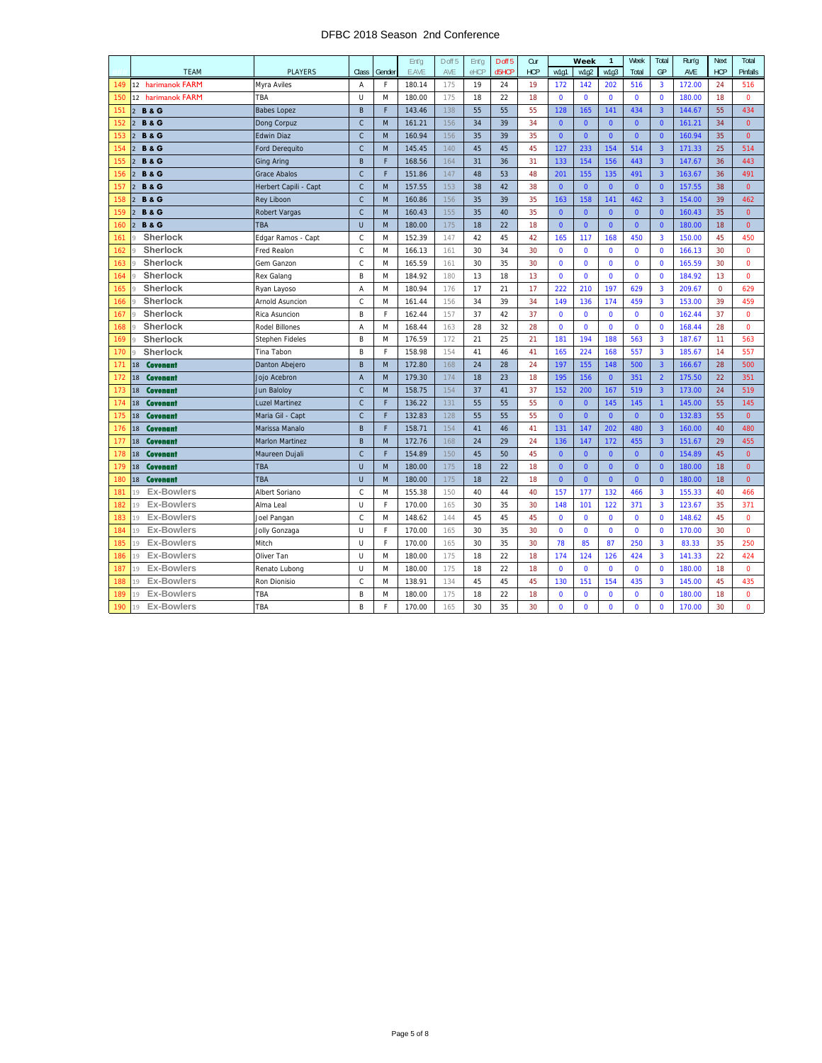#### DFBC 2018 Season 2nd Conference

|     |                                   |                        |                |        | Ent'g  | D off 5 | Ent'a | D off 5 | Cur        |                | Week         | $\mathbf{1}$   | Week         | Total                   | Run'g  | Next           | Total          |
|-----|-----------------------------------|------------------------|----------------|--------|--------|---------|-------|---------|------------|----------------|--------------|----------------|--------------|-------------------------|--------|----------------|----------------|
|     | <b>TEAM</b>                       | <b>PLAYERS</b>         | Class          | Gender | E.AVE  | AVE     | eHCP  | d5HCP   | <b>HCP</b> | w1q1           | w1q2         | w1q3           | Total        | GP                      | AVE    | <b>HCP</b>     | Pinfalls       |
| 149 | 12 harimanok FARM                 | Myra Aviles            | A              | E      | 180.14 | 175     | 19    | 24      | 19         | 172            | 142          | 202            | 516          | $\overline{\mathbf{3}}$ | 172.00 | 24             | 516            |
| 150 | 12 harimanok FARM                 | TBA                    | Ü              | M      | 180.00 | 175     | 18    | 22      | 18         | $\Omega$       | $\Omega$     | $\Omega$       | $\mathbf{0}$ | $\Omega$                | 180.00 | 18             | $\overline{0}$ |
| 151 | $\overline{2}$<br><b>B&amp;G</b>  | <b>Babes Lopez</b>     | B              | F      | 143.46 | 138     | 55    | 55      | 55         | 128            | 165          | 141            | 434          | $\overline{3}$          | 144.67 | 55             | 434            |
| 152 | $\overline{2}$<br><b>B&amp; G</b> | Dong Corpuz            | $\mathsf{C}$   | M      | 161.21 | 156     | 34    | 39      | 34         | $\overline{0}$ | $\mathbf{0}$ | $\mathbf{0}$   | $\mathbf{0}$ | $\mathbf{0}$            | 161.21 | 34             | $\mathbf{0}$   |
| 153 | <b>B&amp;G</b><br>$\overline{2}$  | <b>Edwin Diaz</b>      | $\mathsf{C}$   | M      | 160.94 | 156     | 35    | 39      | 35         | $\mathbf{0}$   | $\mathbf{0}$ | $\mathbf{0}$   | $\mathbf{0}$ | $\mathbf{0}$            | 160.94 | 35             | $\mathbf{0}$   |
| 154 | <b>B&amp;G</b><br>$\overline{2}$  | <b>Ford Derequito</b>  | $\mathsf{C}$   | M      | 145.45 | 140     | 45    | 45      | 45         | 127            | 233          | 154            | 514          | $\overline{3}$          | 171.33 | 25             | 514            |
| 155 | <b>B&amp;G</b><br>$\overline{2}$  | <b>Ging Aring</b>      | B              | F      | 168.56 | 164     | 31    | 36      | 31         | 133            | 154          | 156            | 443          | $\overline{3}$          | 147.67 | 36             | 443            |
| 156 | <b>B&amp;G</b><br>$\overline{2}$  | <b>Grace Abalos</b>    | $\mathsf{C}$   | F      | 151.86 | 147     | 48    | 53      | 48         | 201            | 155          | 135            | 491          | $\overline{3}$          | 163.67 | 36             | 491            |
| 157 | <b>B&amp;G</b><br>$\overline{2}$  | Herbert Capili - Capt  | $\mathsf{C}$   | M      | 157.55 | 153     | 38    | 42      | 38         | $\mathbf{0}$   | $\mathbf{0}$ | $\Omega$       | $\mathbf{0}$ | $\mathbf{0}$            | 157.55 | 38             | $\mathbf{0}$   |
| 158 | <b>B&amp;G</b><br>$\overline{2}$  | <b>Rey Liboon</b>      | $\mathsf{C}$   | M      | 160.86 | 156     | 35    | 39      | 35         | 163            | 158          | 141            | 462          | $\overline{3}$          | 154.00 | 39             | 462            |
| 159 | <b>B&amp;G</b><br>$\overline{2}$  | Robert Vargas          | $\mathsf C$    | M      | 160.43 | 155     | 35    | 40      | 35         | $\overline{0}$ | $\mathbf{0}$ | $\mathbf{0}$   | $\mathbf{0}$ | $\mathbf{0}$            | 160.43 | 35             | $\mathbf 0$    |
| 160 | <b>B&amp;G</b><br>$\overline{2}$  | <b>TBA</b>             | U              | M      | 180.00 | 175     | 18    | 22      | 18         | $\mathbf 0$    | $\mathbf{0}$ | $\mathbf{0}$   | $\mathbf{0}$ | $\mathbf{0}$            | 180.00 | 18             | $\mathbf{0}$   |
| 161 | Sherlock                          | Edgar Ramos - Capt     | $\mathsf{C}$   | M      | 152.39 | 147     | 42    | 45      | 42         | 165            | 117          | 168            | 450          | $\overline{3}$          | 150.00 | 45             | 450            |
| 162 | Sherlock                          | Fred Realon            | $\mathsf{C}$   | M      | 166.13 | 161     | 30    | 34      | 30         | $\mathbf 0$    | $\mathbf 0$  | $\mathbf{0}$   | $\mathbf 0$  | $\mathbf{0}$            | 166.13 | 30             | $\mathbf 0$    |
| 163 | Sherlock<br>Q                     | Gem Ganzon             | $\mathsf C$    | M      | 165.59 | 161     | 30    | 35      | 30         | $\Omega$       | $\Omega$     | $\Omega$       | $\mathbf{0}$ | $\Omega$                | 165.59 | 30             | $\mathbf 0$    |
| 164 | Sherlock<br>q                     | Rex Galang             | B              | M      | 184.92 | 180     | 13    | 18      | 13         | $\mathbf 0$    | $\mathbf{0}$ | $\mathbf{0}$   | $\pmb{0}$    | $\Omega$                | 184.92 | 13             | $\mathbf{0}$   |
| 165 | Sherlock                          | Ryan Layoso            | A              | M      | 180.94 | 176     | 17    | 21      | 17         | 222            | 210          | 197            | 629          | 3                       | 209.67 | $\overline{0}$ | 629            |
| 166 | Sherlock                          | Arnold Asuncion        | $\mathsf{C}$   | M      | 161.44 | 156     | 34    | 39      | 34         | 149            | 136          | 174            | 459          | $\overline{3}$          | 153.00 | 39             | 459            |
| 167 | Sherlock<br>$\Omega$              | Rica Asuncion          | B              | F      | 162.44 | 157     | 37    | 42      | 37         | $\mathbf{0}$   | $\mathbf 0$  | $\mathbf{0}$   | $\mathbf 0$  | $\mathbf 0$             | 162.44 | 37             | $\mathbf 0$    |
| 168 | Sherlock                          | <b>Rodel Billones</b>  | Α              | M      | 168.44 | 163     | 28    | 32      | 28         | $\mathbf 0$    | $\mathbf 0$  | $\mathbf{0}$   | $\pmb{0}$    | $\mathbf 0$             | 168.44 | 28             | $\mathbf 0$    |
| 169 | Sherlock                          | <b>Stephen Fideles</b> | B              | M      | 176.59 | 172     | 21    | 25      | 21         | 181            | 194          | 188            | 563          | $\overline{3}$          | 187.67 | 11             | 563            |
| 170 | Sherlock<br>$\alpha$              | Tina Tabon             | B              | F      | 158.98 | 154     | 41    | 46      | 41         | 165            | 224          | 168            | 557          | $\overline{3}$          | 185.67 | 14             | 557            |
| 171 | Covenant<br>18                    | Danton Abejero         | B              | M      | 172.80 | 168     | 24    | 28      | 24         | 197            | 155          | 148            | 500          | $\overline{3}$          | 166.67 | 28             | 500            |
| 172 | <b>Covenant</b><br>18             | Jojo Acebron           | $\overline{A}$ | M      | 179.30 | 174     | 18    | 23      | 18         | 195            | 156          | $\overline{0}$ | 351          | $\overline{2}$          | 175.50 | 22             | 351            |
| 173 | Covenant<br>18                    | Jun Baloloy            | $\mathsf{C}$   | M      | 158.75 | 154     | 37    | 41      | 37         | 152            | 200          | 167            | 519          | $\overline{\mathbf{3}}$ | 173.00 | 24             | 519            |
| 174 | 18<br>Covenant                    | <b>Luzel Martinez</b>  | $\mathsf C$    | F      | 136.22 | 131     | 55    | 55      | 55         | $\mathbf{0}$   | $\mathbf{0}$ | 145            | 145          | $\overline{1}$          | 145.00 | 55             | 145            |
| 175 | Covenant<br>18                    | Maria Gil - Capt       | $\mathsf{C}$   | F      | 132.83 | 128     | 55    | 55      | 55         | $\overline{0}$ | $\mathbf{0}$ | $\mathbf{0}$   | $\mathbf{0}$ | $\mathbf{0}$            | 132.83 | 55             | $\mathbf{0}$   |
| 176 | Covenant<br>18                    | Marissa Manalo         | B              | F      | 158.71 | 154     | 41    | 46      | 41         | 131            | 147          | 202            | 480          | $\overline{3}$          | 160.00 | 40             | 480            |
| 177 | Covenant<br>18                    | <b>Marlon Martinez</b> | B              | M      | 172.76 | 168     | 24    | 29      | 24         | 136            | 147          | 172            | 455          | $\overline{3}$          | 151.67 | 29             | 455            |
| 178 | <b>Covenant</b><br>18             | Maureen Dujali         | $\mathsf{C}$   | F      | 154.89 | 150     | 45    | 50      | 45         | $\mathbf{0}$   | $\mathbf{0}$ | $\overline{0}$ | $\mathbf{0}$ | $\mathbf{0}$            | 154.89 | 45             | $\mathbf{0}$   |
| 179 | Covenant<br>18                    | <b>TBA</b>             | U              | M      | 180.00 | 175     | 18    | 22      | 18         | $\overline{0}$ | $\mathbf{0}$ | $\mathbf{0}$   | $\mathbf{0}$ | $\mathbf{0}$            | 180.00 | 18             | $\mathbf 0$    |
| 180 | Covenant<br>18                    | <b>TBA</b>             | U              | M      | 180.00 | 175     | 18    | 22      | 18         | $\mathbf{0}$   | $\mathbf{0}$ | $\mathbf{0}$   | $\mathbf{0}$ | $\mathbf{0}$            | 180.00 | 18             | $\mathbf{0}$   |
| 181 | <b>Ex-Bowlers</b><br>19           | Albert Soriano         | С              | M      | 155.38 | 150     | 40    | 44      | 40         | 157            | 177          | 132            | 466          | $\overline{3}$          | 155.33 | 40             | 466            |
| 182 | <b>Ex-Bowlers</b><br>19           | Alma Leal              | U              | F      | 170.00 | 165     | 30    | 35      | 30         | 148            | 101          | 122            | 371          | $\overline{3}$          | 123.67 | 35             | 371            |
| 183 | <b>Ex-Bowlers</b><br>19           | Joel Pangan            | C              | M      | 148.62 | 144     | 45    | 45      | 45         | $\Omega$       | $\Omega$     | $\Omega$       | $\mathbf 0$  | $\Omega$                | 148.62 | 45             | $\Omega$       |
| 184 | <b>Ex-Bowlers</b><br>19           | Jolly Gonzaga          | U              | F      | 170.00 | 165     | 30    | 35      | 30         | $\Omega$       | $\Omega$     | $\Omega$       | $\mathbf{0}$ | $\Omega$                | 170.00 | 30             | $\Omega$       |
| 185 | <b>Ex-Bowlers</b><br>19           | Mitch                  | U              | F      | 170.00 | 165     | 30    | 35      | 30         | 78             | 85           | 87             | 250          | 3                       | 83.33  | 35             | 250            |
| 186 | <b>Ex-Bowlers</b><br>19           | Oliver Tan             | U              | M      | 180.00 | 175     | 18    | 22      | 18         | 174            | 124          | 126            | 424          | $\overline{3}$          | 141.33 | 22             | 424            |
| 187 | <b>Ex-Bowlers</b><br>19           | Renato Lubong          | U              | M      | 180.00 | 175     | 18    | 22      | 18         | $\mathbf{0}$   | $\mathbf 0$  | $\mathbf{0}$   | $\mathbf 0$  | $\mathbf 0$             | 180.00 | 18             | $\mathbf 0$    |
| 188 | <b>Ex-Bowlers</b><br>19           | Ron Dionisio           | C              | M      | 138.91 | 134     | 45    | 45      | 45         | 130            | 151          | 154            | 435          | 3                       | 145.00 | 45             | 435            |
| 189 | <b>Ex-Bowlers</b><br>19           | TBA                    | B              | M      | 180.00 | 175     | 18    | 22      | 18         | $\Omega$       | $\Omega$     | $\mathbf{0}$   | $\mathbf{0}$ | $\overline{0}$          | 180.00 | 18             | $\Omega$       |
| 190 | <b>Ex-Bowlers</b><br>19           | TBA                    | B              | F      | 170.00 | 165     | 30    | 35      | 30         | $\mathbf 0$    | $\Omega$     | $\mathbf{0}$   | $\mathbf 0$  | $\mathbf{0}$            | 170.00 | 30             | $\Omega$       |